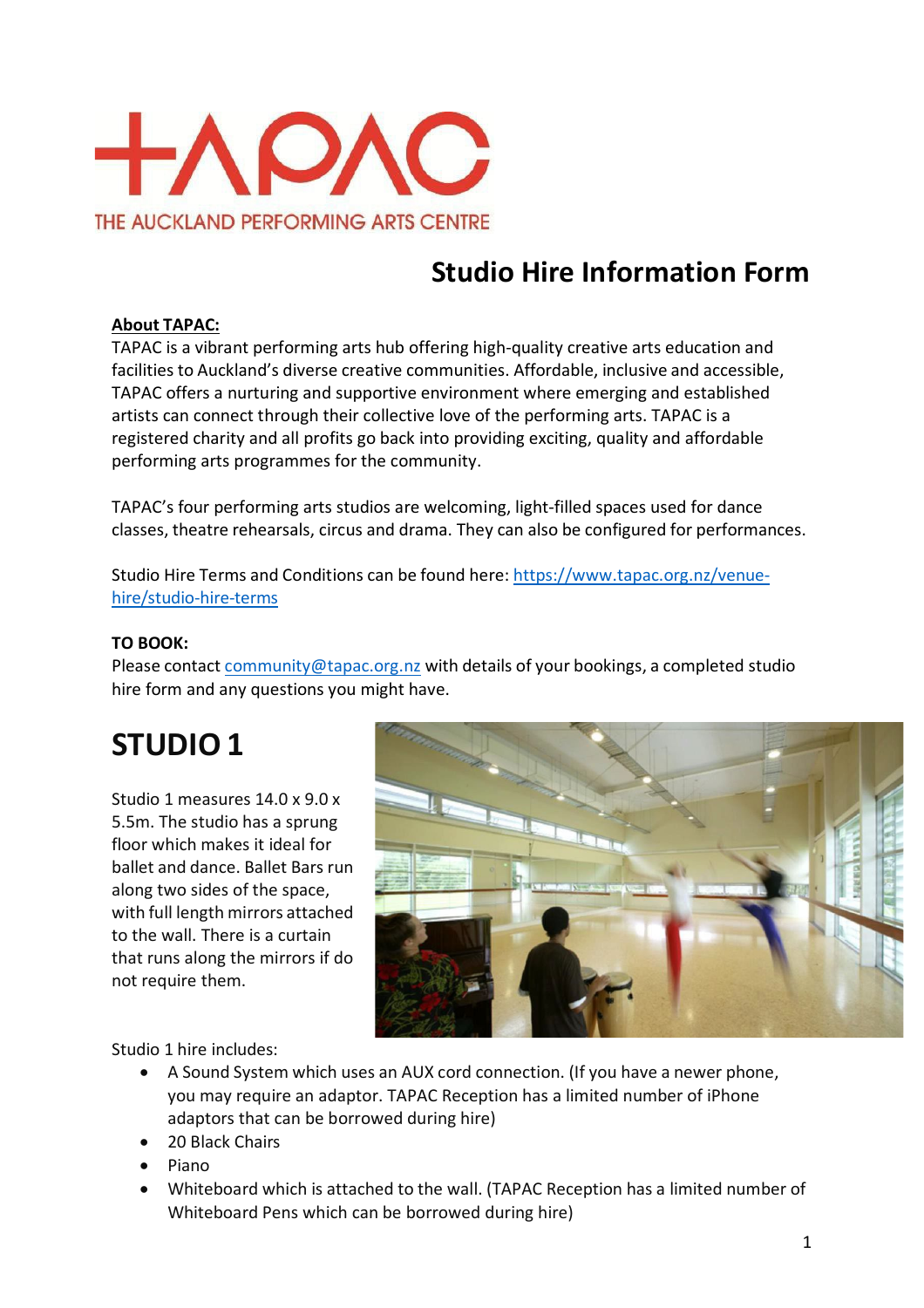

## **Studio Hire Information Form**

#### **About TAPAC:**

TAPAC is a vibrant performing arts hub offering high-quality creative arts education and facilities to Auckland's diverse creative communities. Affordable, inclusive and accessible, TAPAC offers a nurturing and supportive environment where emerging and established artists can connect through their collective love of the performing arts. TAPAC is a registered charity and all profits go back into providing exciting, quality and affordable performing arts programmes for the community.

TAPAC's four performing arts studios are welcoming, light-filled spaces used for dance classes, theatre rehearsals, circus and drama. They can also be configured for performances.

Studio Hire Terms and Conditions can be found here: [https://www.tapac.org.nz/venue](https://www.tapac.org.nz/venue-hire/studio-hire-terms)[hire/studio-hire-terms](https://www.tapac.org.nz/venue-hire/studio-hire-terms)

#### **TO BOOK:**

Please contact [community@tapac.org.nz](mailto:community@tapac.org.nz) with details of your bookings, a completed studio hire form and any questions you might have.

# **STUDIO 1**

Studio 1 measures 14.0 x 9.0 x 5.5m. The studio has a sprung floor which makes it ideal for ballet and dance. Ballet Bars run along two sides of the space, with full length mirrors attached to the wall. There is a curtain that runs along the mirrors if do not require them.



Studio 1 hire includes:

- A Sound System which uses an AUX cord connection. (If you have a newer phone, you may require an adaptor. TAPAC Reception has a limited number of iPhone adaptors that can be borrowed during hire)
- 20 Black Chairs
- Piano
- Whiteboard which is attached to the wall. (TAPAC Reception has a limited number of Whiteboard Pens which can be borrowed during hire)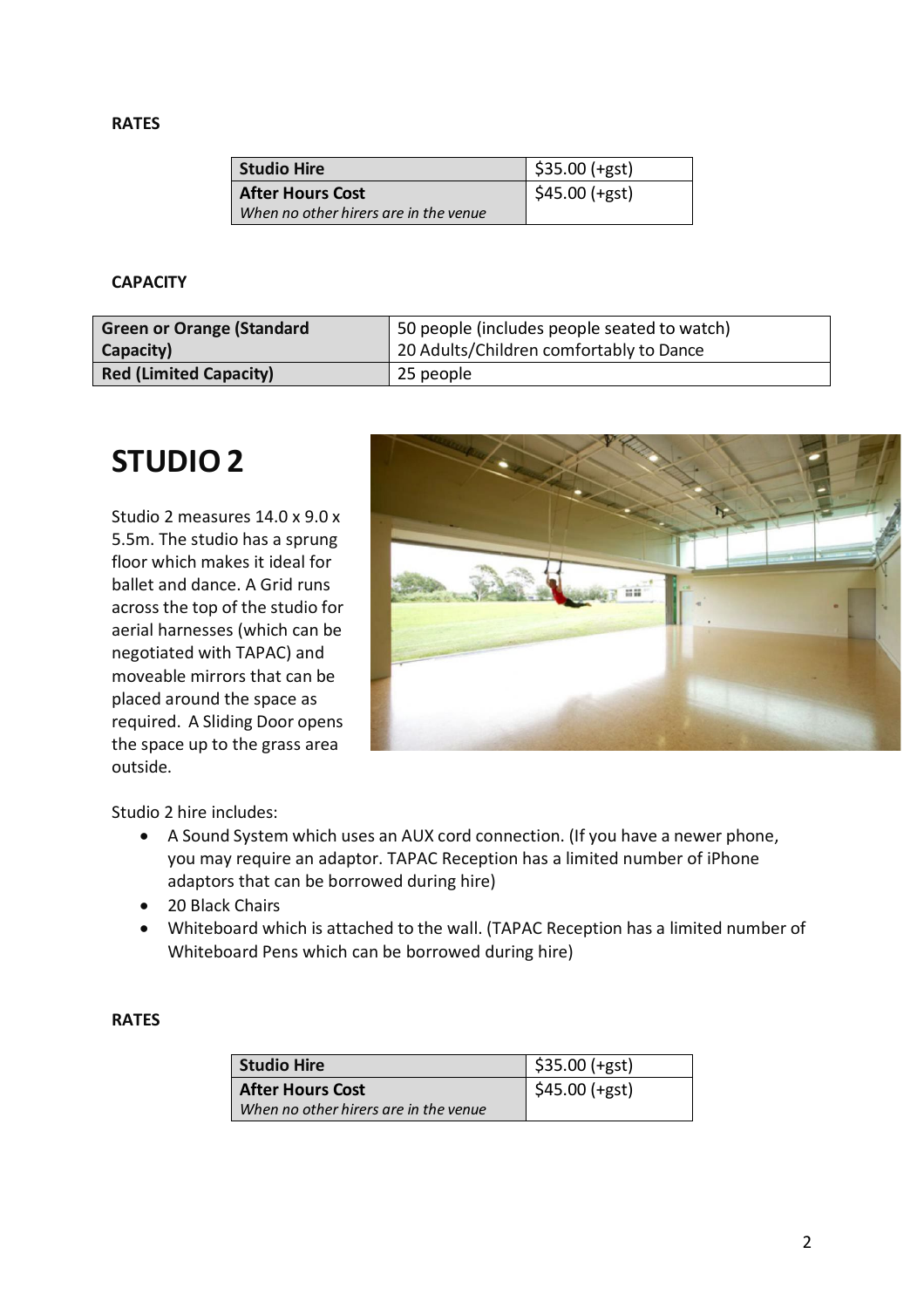#### **RATES**

| Studio Hire                           | $\frac{1}{2}$ \$35.00 (+gst) |
|---------------------------------------|------------------------------|
| <b>After Hours Cost</b>               | $$45.00 (+gst)$              |
| When no other hirers are in the venue |                              |

#### **CAPACITY**

| <b>Green or Orange (Standard</b> | 50 people (includes people seated to watch) |
|----------------------------------|---------------------------------------------|
| Capacity)                        | 20 Adults/Children comfortably to Dance     |
| <b>Red (Limited Capacity)</b>    | 25 people                                   |

### **STUDIO 2**

Studio 2 measures 14.0 x 9.0 x 5.5m. The studio has a sprung floor which makes it ideal for ballet and dance. A Grid runs across the top of the studio for aerial harnesses (which can be negotiated with TAPAC) and moveable mirrors that can be placed around the space as required. A Sliding Door opens the space up to the grass area outside.



Studio 2 hire includes:

- A Sound System which uses an AUX cord connection. (If you have a newer phone, you may require an adaptor. TAPAC Reception has a limited number of iPhone adaptors that can be borrowed during hire)
- 20 Black Chairs
- Whiteboard which is attached to the wall. (TAPAC Reception has a limited number of Whiteboard Pens which can be borrowed during hire)

#### **RATES**

| <b>Studio Hire</b>                                               | $ $ \$35.00 (+gst)           |
|------------------------------------------------------------------|------------------------------|
| <b>After Hours Cost</b><br>When no other hirers are in the venue | $\frac{1}{2}$ \$45.00 (+gst) |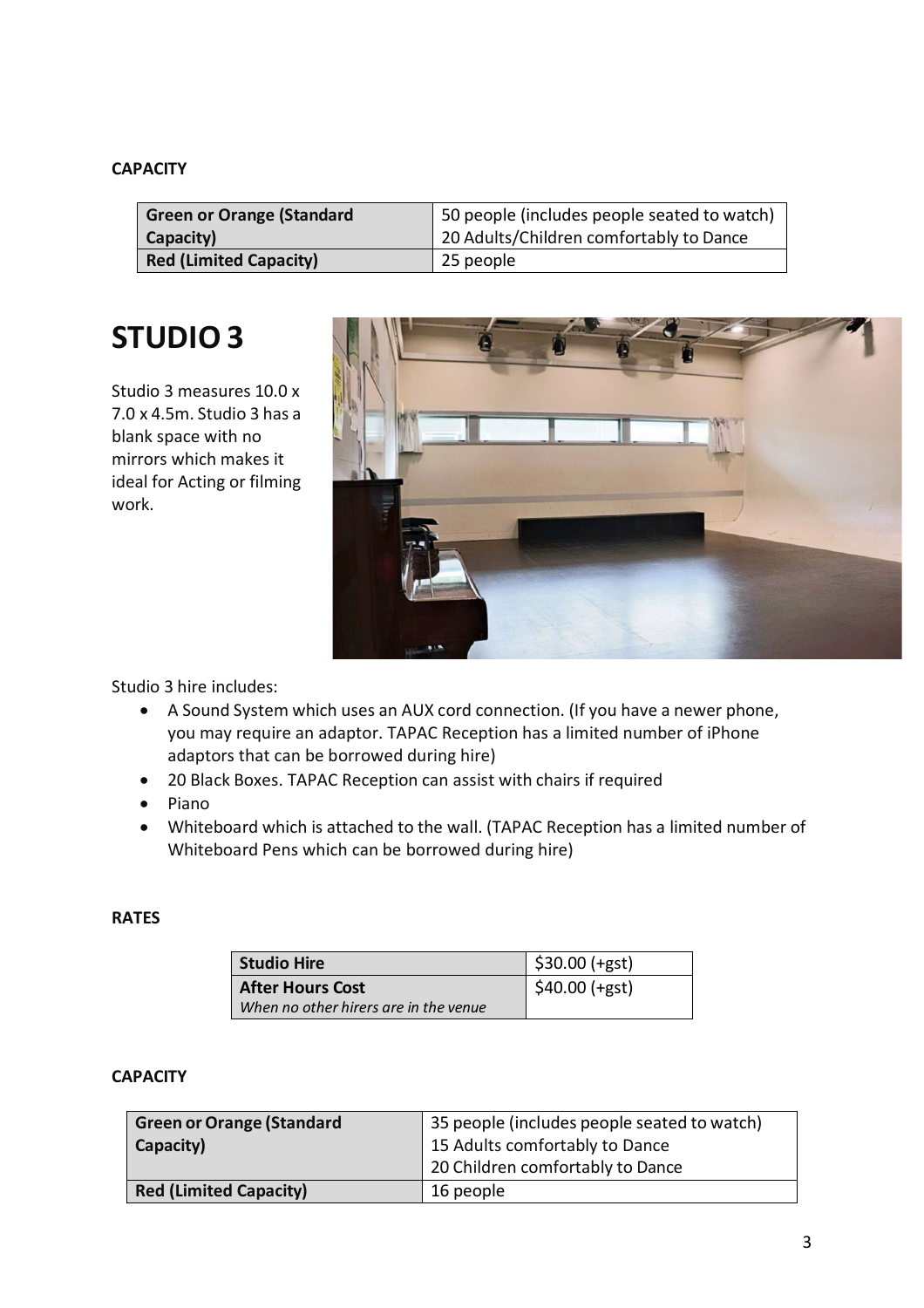#### **CAPACITY**

| <b>Green or Orange (Standard</b> | 50 people (includes people seated to watch) |
|----------------------------------|---------------------------------------------|
| Capacity)                        | 20 Adults/Children comfortably to Dance     |
| <b>Red (Limited Capacity)</b>    | 25 people                                   |

## **STUDIO 3**

Studio 3 measures 10.0 x 7.0 x 4.5m. Studio 3 has a blank space with no mirrors which makes it ideal for Acting or filming work.



Studio 3 hire includes:

- A Sound System which uses an AUX cord connection. (If you have a newer phone, you may require an adaptor. TAPAC Reception has a limited number of iPhone adaptors that can be borrowed during hire)
- 20 Black Boxes. TAPAC Reception can assist with chairs if required
- Piano
- Whiteboard which is attached to the wall. (TAPAC Reception has a limited number of Whiteboard Pens which can be borrowed during hire)

#### **RATES**

| Studio Hire                                                      | $$30.00 (+gst)$ |
|------------------------------------------------------------------|-----------------|
| <b>After Hours Cost</b><br>When no other hirers are in the venue | $$40.00$ (+gst) |

#### **CAPACITY**

| <b>Green or Orange (Standard</b> | 35 people (includes people seated to watch) |
|----------------------------------|---------------------------------------------|
| Capacity)                        | 15 Adults comfortably to Dance              |
|                                  | 20 Children comfortably to Dance            |
| <b>Red (Limited Capacity)</b>    | 16 people                                   |